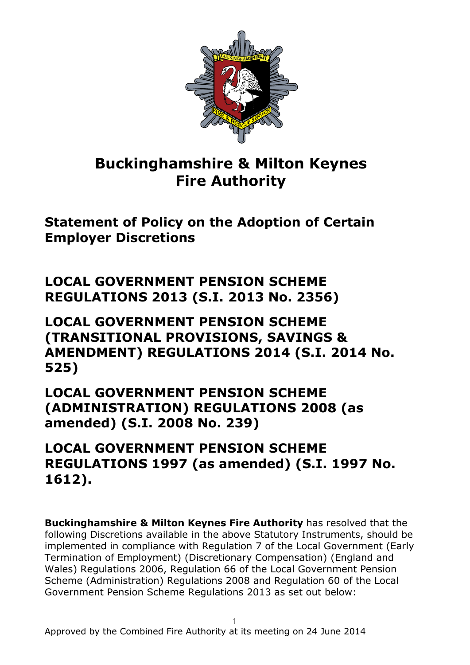

## **Buckinghamshire & Milton Keynes Fire Authority**

**Statement of Policy on the Adoption of Certain Employer Discretions**

**LOCAL GOVERNMENT PENSION SCHEME REGULATIONS 2013 (S.I. 2013 No. 2356)**

**LOCAL GOVERNMENT PENSION SCHEME (TRANSITIONAL PROVISIONS, SAVINGS & AMENDMENT) REGULATIONS 2014 (S.I. 2014 No. 525)**

**LOCAL GOVERNMENT PENSION SCHEME (ADMINISTRATION) REGULATIONS 2008 (as amended) (S.I. 2008 No. 239)**

**LOCAL GOVERNMENT PENSION SCHEME REGULATIONS 1997 (as amended) (S.I. 1997 No. 1612).**

**Buckinghamshire & Milton Keynes Fire Authority** has resolved that the following Discretions available in the above Statutory Instruments, should be implemented in compliance with Regulation 7 of the Local Government (Early Termination of Employment) (Discretionary Compensation) (England and Wales) Regulations 2006, Regulation 66 of the Local Government Pension Scheme (Administration) Regulations 2008 and Regulation 60 of the Local Government Pension Scheme Regulations 2013 as set out below: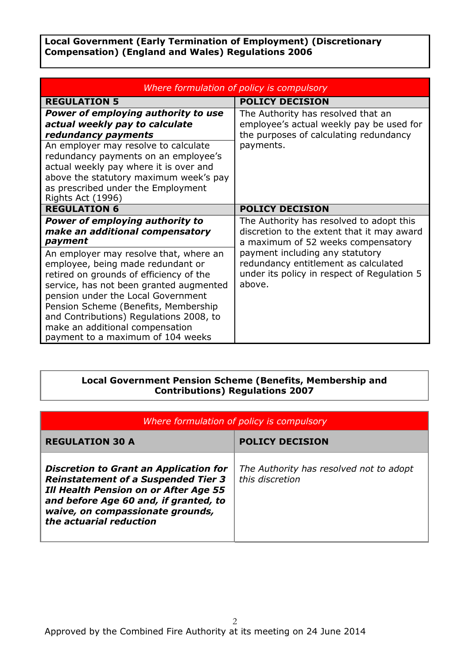**Local Government (Early Termination of Employment) (Discretionary Compensation) (England and Wales) Regulations 2006**

| Where formulation of policy is compulsory                                                                                                                                                                                                                                                                                                                                                                                                                  |                                                                                                                                                                                                                                                                  |  |
|------------------------------------------------------------------------------------------------------------------------------------------------------------------------------------------------------------------------------------------------------------------------------------------------------------------------------------------------------------------------------------------------------------------------------------------------------------|------------------------------------------------------------------------------------------------------------------------------------------------------------------------------------------------------------------------------------------------------------------|--|
| <b>REGULATION 5</b>                                                                                                                                                                                                                                                                                                                                                                                                                                        | <b>POLICY DECISION</b>                                                                                                                                                                                                                                           |  |
| <b>Power of employing authority to use</b><br>actual weekly pay to calculate<br>redundancy payments<br>An employer may resolve to calculate<br>redundancy payments on an employee's<br>actual weekly pay where it is over and<br>above the statutory maximum week's pay<br>as prescribed under the Employment<br>Rights Act (1996)                                                                                                                         | The Authority has resolved that an<br>employee's actual weekly pay be used for<br>the purposes of calculating redundancy<br>payments.                                                                                                                            |  |
| <b>REGULATION 6</b>                                                                                                                                                                                                                                                                                                                                                                                                                                        | <b>POLICY DECISION</b>                                                                                                                                                                                                                                           |  |
| <b>Power of employing authority to</b><br>make an additional compensatory<br>payment<br>An employer may resolve that, where an<br>employee, being made redundant or<br>retired on grounds of efficiency of the<br>service, has not been granted augmented<br>pension under the Local Government<br>Pension Scheme (Benefits, Membership<br>and Contributions) Regulations 2008, to<br>make an additional compensation<br>payment to a maximum of 104 weeks | The Authority has resolved to adopt this<br>discretion to the extent that it may award<br>a maximum of 52 weeks compensatory<br>payment including any statutory<br>redundancy entitlement as calculated<br>under its policy in respect of Regulation 5<br>above. |  |

## **Local Government Pension Scheme (Benefits, Membership and Contributions) Regulations 2007**

| Where formulation of policy is compulsory                                                                                                                                                                                                           |                                                            |
|-----------------------------------------------------------------------------------------------------------------------------------------------------------------------------------------------------------------------------------------------------|------------------------------------------------------------|
| <b>REGULATION 30 A</b>                                                                                                                                                                                                                              | <b>POLICY DECISION</b>                                     |
| <b>Discretion to Grant an Application for</b><br><b>Reinstatement of a Suspended Tier 3</b><br><b>Ill Health Pension on or After Age 55</b><br>and before Age 60 and, if granted, to<br>waive, on compassionate grounds,<br>the actuarial reduction | The Authority has resolved not to adopt<br>this discretion |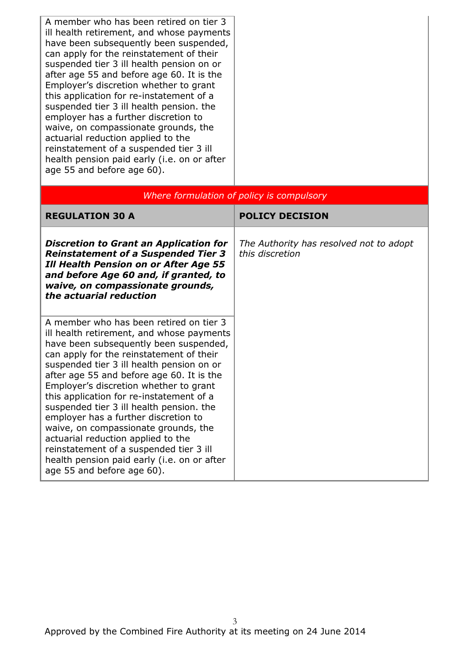A member who has been retired on tier 3 ill health retirement, and whose payments have been subsequently been suspended, can apply for the reinstatement of their suspended tier 3 ill health pension on or after age 55 and before age 60. It is the Employer's discretion whether to grant this application for re-instatement of a suspended tier 3 ill health pension. the employer has a further discretion to waive, on compassionate grounds, the actuarial reduction applied to the reinstatement of a suspended tier 3 ill health pension paid early (i.e. on or after age 55 and before age 60).

| Where formulation of policy is compulsory                                                                                                                                                                                                                                                                                                                                                                                                                                                                                                                                                                                                            |                                                            |  |
|------------------------------------------------------------------------------------------------------------------------------------------------------------------------------------------------------------------------------------------------------------------------------------------------------------------------------------------------------------------------------------------------------------------------------------------------------------------------------------------------------------------------------------------------------------------------------------------------------------------------------------------------------|------------------------------------------------------------|--|
| <b>REGULATION 30 A</b>                                                                                                                                                                                                                                                                                                                                                                                                                                                                                                                                                                                                                               | <b>POLICY DECISION</b>                                     |  |
| <b>Discretion to Grant an Application for</b><br><b>Reinstatement of a Suspended Tier 3</b><br><b>Ill Health Pension on or After Age 55</b><br>and before Age 60 and, if granted, to<br>waive, on compassionate grounds,<br>the actuarial reduction                                                                                                                                                                                                                                                                                                                                                                                                  | The Authority has resolved not to adopt<br>this discretion |  |
| A member who has been retired on tier 3<br>ill health retirement, and whose payments<br>have been subsequently been suspended,<br>can apply for the reinstatement of their<br>suspended tier 3 ill health pension on or<br>after age 55 and before age 60. It is the<br>Employer's discretion whether to grant<br>this application for re-instatement of a<br>suspended tier 3 ill health pension. the<br>employer has a further discretion to<br>waive, on compassionate grounds, the<br>actuarial reduction applied to the<br>reinstatement of a suspended tier 3 ill<br>health pension paid early (i.e. on or after<br>age 55 and before age 60). |                                                            |  |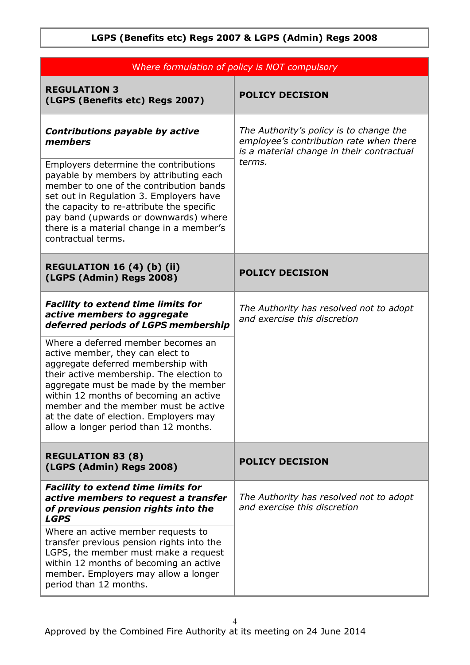| Where formulation of policy is NOT compulsory                                                                                                                                                                                                                                                                                                                         |                                                                                                                                 |  |
|-----------------------------------------------------------------------------------------------------------------------------------------------------------------------------------------------------------------------------------------------------------------------------------------------------------------------------------------------------------------------|---------------------------------------------------------------------------------------------------------------------------------|--|
| <b>REGULATION 3</b><br>(LGPS (Benefits etc) Regs 2007)                                                                                                                                                                                                                                                                                                                | <b>POLICY DECISION</b>                                                                                                          |  |
| <b>Contributions payable by active</b><br>members                                                                                                                                                                                                                                                                                                                     | The Authority's policy is to change the<br>employee's contribution rate when there<br>is a material change in their contractual |  |
| Employers determine the contributions<br>payable by members by attributing each<br>member to one of the contribution bands<br>set out in Regulation 3. Employers have<br>the capacity to re-attribute the specific<br>pay band (upwards or downwards) where<br>there is a material change in a member's<br>contractual terms.                                         | terms.                                                                                                                          |  |
| <b>REGULATION 16 (4) (b) (ii)</b><br>(LGPS (Admin) Regs 2008)                                                                                                                                                                                                                                                                                                         | <b>POLICY DECISION</b>                                                                                                          |  |
| <b>Facility to extend time limits for</b><br>active members to aggregate<br>deferred periods of LGPS membership                                                                                                                                                                                                                                                       | The Authority has resolved not to adopt<br>and exercise this discretion                                                         |  |
| Where a deferred member becomes an<br>active member, they can elect to<br>aggregate deferred membership with<br>their active membership. The election to<br>aggregate must be made by the member<br>within 12 months of becoming an active<br>member and the member must be active<br>at the date of election. Employers may<br>allow a longer period than 12 months. |                                                                                                                                 |  |
| <b>REGULATION 83 (8)</b><br>(LGPS (Admin) Regs 2008)                                                                                                                                                                                                                                                                                                                  | <b>POLICY DECISION</b>                                                                                                          |  |
| <b>Facility to extend time limits for</b><br>active members to request a transfer<br>of previous pension rights into the<br><b>LGPS</b>                                                                                                                                                                                                                               | The Authority has resolved not to adopt<br>and exercise this discretion                                                         |  |
| Where an active member requests to<br>transfer previous pension rights into the<br>LGPS, the member must make a request<br>within 12 months of becoming an active<br>member. Employers may allow a longer<br>period than 12 months.                                                                                                                                   |                                                                                                                                 |  |

## **LGPS (Benefits etc) Regs 2007 & LGPS (Admin) Regs 2008**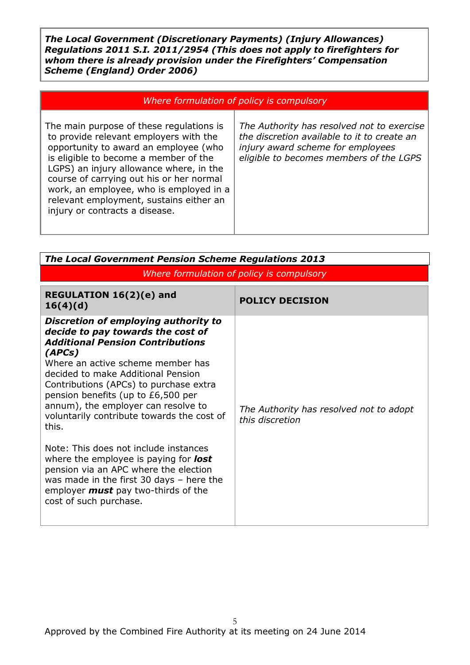*The Local Government (Discretionary Payments) (Injury Allowances) Regulations 2011 S.I. 2011/2954 (This does not apply to firefighters for whom there is already provision under the Firefighters' Compensation Scheme (England) Order 2006)*

| Where formulation of policy is compulsory |  |  |  |  |
|-------------------------------------------|--|--|--|--|
|-------------------------------------------|--|--|--|--|

The main purpose of these regulations is to provide relevant employers with the opportunity to award an employee (who is eligible to become a member of the LGPS) an injury allowance where, in the course of carrying out his or her normal work, an employee, who is employed in a relevant employment, sustains either an injury or contracts a disease.

*The Authority has resolved not to exercise the discretion available to it to create an injury award scheme for employees eligible to becomes members of the LGPS*

| <b>The Local Government Pension Scheme Regulations 2013</b>                                                                                                                                                                                                                                                                                                                             |                                                            |  |
|-----------------------------------------------------------------------------------------------------------------------------------------------------------------------------------------------------------------------------------------------------------------------------------------------------------------------------------------------------------------------------------------|------------------------------------------------------------|--|
| Where formulation of policy is compulsory                                                                                                                                                                                                                                                                                                                                               |                                                            |  |
| REGULATION 16(2)(e) and<br>16(4)(d)                                                                                                                                                                                                                                                                                                                                                     | <b>POLICY DECISION</b>                                     |  |
| Discretion of employing authority to<br>decide to pay towards the cost of<br><b>Additional Pension Contributions</b><br>(APCs)<br>Where an active scheme member has<br>decided to make Additional Pension<br>Contributions (APCs) to purchase extra<br>pension benefits (up to £6,500 per<br>annum), the employer can resolve to<br>voluntarily contribute towards the cost of<br>this. | The Authority has resolved not to adopt<br>this discretion |  |
| Note: This does not include instances<br>where the employee is paying for <b>lost</b><br>pension via an APC where the election<br>was made in the first 30 days - here the<br>employer <b>must</b> pay two-thirds of the<br>cost of such purchase.                                                                                                                                      |                                                            |  |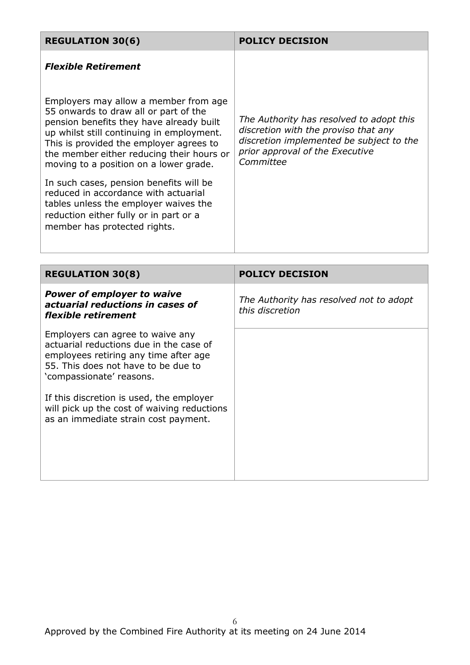| <b>REGULATION 30(6)</b>                                                                                                                                                                                                                                                                                   | <b>POLICY DECISION</b>                                                                                                                                                       |
|-----------------------------------------------------------------------------------------------------------------------------------------------------------------------------------------------------------------------------------------------------------------------------------------------------------|------------------------------------------------------------------------------------------------------------------------------------------------------------------------------|
| <b>Flexible Retirement</b>                                                                                                                                                                                                                                                                                |                                                                                                                                                                              |
| Employers may allow a member from age<br>55 onwards to draw all or part of the<br>pension benefits they have already built<br>up whilst still continuing in employment.<br>This is provided the employer agrees to<br>the member either reducing their hours or<br>moving to a position on a lower grade. | The Authority has resolved to adopt this<br>discretion with the proviso that any<br>discretion implemented be subject to the<br>prior approval of the Executive<br>Committee |
| In such cases, pension benefits will be<br>reduced in accordance with actuarial<br>tables unless the employer waives the<br>reduction either fully or in part or a<br>member has protected rights.                                                                                                        |                                                                                                                                                                              |
|                                                                                                                                                                                                                                                                                                           |                                                                                                                                                                              |
| <b>REGULATION 30(8)</b>                                                                                                                                                                                                                                                                                   | <b>POLICY DECISION</b>                                                                                                                                                       |
| <b>Power of employer to waive</b><br>actuarial reductions in cases of<br>flexible retirement                                                                                                                                                                                                              | The Authority has resolved not to adopt<br>this discretion                                                                                                                   |
| Employers can agree to waive any<br>actuarial reductions due in the case of<br>employees retiring any time after age<br>55. This does not have to be due to<br>'compassionate' reasons.                                                                                                                   |                                                                                                                                                                              |
| If this discretion is used, the employer<br>will pick up the cost of waiving reductions<br>as an immediate strain cost payment.                                                                                                                                                                           |                                                                                                                                                                              |
|                                                                                                                                                                                                                                                                                                           |                                                                                                                                                                              |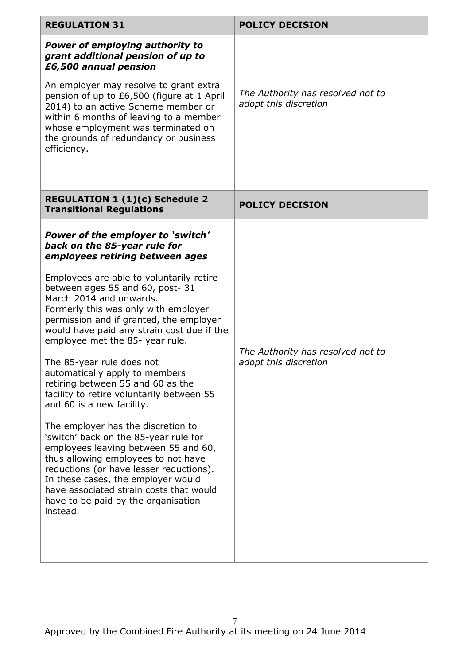| <b>REGULATION 31</b>                                                                                                                                                                                                                                                                                                                                                                                                                                                                                                                                                                                                                                                                                                                                                                                                                                                                                          | <b>POLICY DECISION</b>                                     |
|---------------------------------------------------------------------------------------------------------------------------------------------------------------------------------------------------------------------------------------------------------------------------------------------------------------------------------------------------------------------------------------------------------------------------------------------------------------------------------------------------------------------------------------------------------------------------------------------------------------------------------------------------------------------------------------------------------------------------------------------------------------------------------------------------------------------------------------------------------------------------------------------------------------|------------------------------------------------------------|
| <b>Power of employing authority to</b><br>grant additional pension of up to<br>£6,500 annual pension<br>An employer may resolve to grant extra<br>pension of up to £6,500 (figure at 1 April<br>2014) to an active Scheme member or<br>within 6 months of leaving to a member<br>whose employment was terminated on<br>the grounds of redundancy or business<br>efficiency.                                                                                                                                                                                                                                                                                                                                                                                                                                                                                                                                   | The Authority has resolved not to<br>adopt this discretion |
| <b>REGULATION 1 (1)(c) Schedule 2</b><br><b>Transitional Regulations</b>                                                                                                                                                                                                                                                                                                                                                                                                                                                                                                                                                                                                                                                                                                                                                                                                                                      | <b>POLICY DECISION</b>                                     |
| Power of the employer to 'switch'<br>back on the 85-year rule for<br>employees retiring between ages<br>Employees are able to voluntarily retire<br>between ages 55 and 60, post-31<br>March 2014 and onwards.<br>Formerly this was only with employer<br>permission and if granted, the employer<br>would have paid any strain cost due if the<br>employee met the 85- year rule.<br>The 85-year rule does not<br>automatically apply to members<br>retiring between 55 and 60 as the<br>facility to retire voluntarily between 55<br>and 60 is a new facility.<br>The employer has the discretion to<br>'switch' back on the 85-year rule for<br>employees leaving between 55 and 60,<br>thus allowing employees to not have<br>reductions (or have lesser reductions).<br>In these cases, the employer would<br>have associated strain costs that would<br>have to be paid by the organisation<br>instead. | The Authority has resolved not to<br>adopt this discretion |